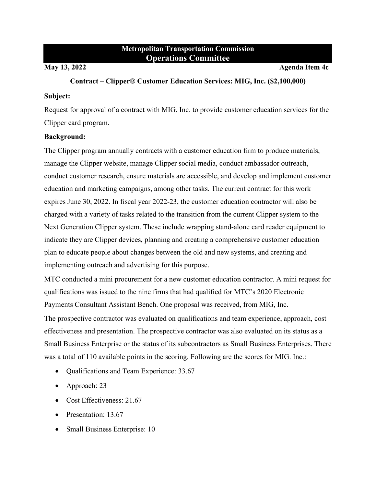# **Metropolitan Transportation Commission Operations Committee**

**May 13, 2022 Agenda Item 4c** 

#### **Contract – Clipper® Customer Education Services: MIG, Inc. (\$2,100,000)**

#### **Subject:**

Request for approval of a contract with MIG, Inc. to provide customer education services for the Clipper card program.

### **Background:**

The Clipper program annually contracts with a customer education firm to produce materials, manage the Clipper website, manage Clipper social media, conduct ambassador outreach, conduct customer research, ensure materials are accessible, and develop and implement customer education and marketing campaigns, among other tasks. The current contract for this work expires June 30, 2022. In fiscal year 2022-23, the customer education contractor will also be charged with a variety of tasks related to the transition from the current Clipper system to the Next Generation Clipper system. These include wrapping stand-alone card reader equipment to indicate they are Clipper devices, planning and creating a comprehensive customer education plan to educate people about changes between the old and new systems, and creating and implementing outreach and advertising for this purpose.

MTC conducted a mini procurement for a new customer education contractor. A mini request for qualifications was issued to the nine firms that had qualified for MTC's 2020 Electronic Payments Consultant Assistant Bench. One proposal was received, from MIG, Inc.

The prospective contractor was evaluated on qualifications and team experience, approach, cost effectiveness and presentation. The prospective contractor was also evaluated on its status as a Small Business Enterprise or the status of its subcontractors as Small Business Enterprises. There was a total of 110 available points in the scoring. Following are the scores for MIG. Inc.:

- Qualifications and Team Experience: 33.67
- Approach: 23
- Cost Effectiveness: 21.67
- Presentation: 13.67
- Small Business Enterprise: 10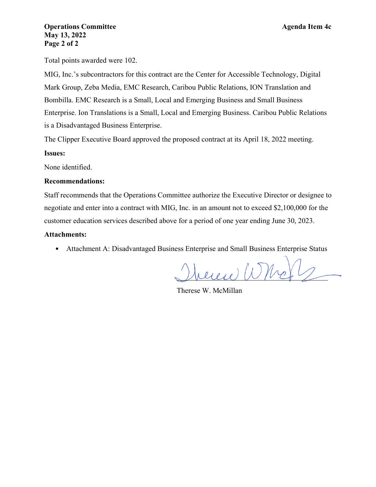Total points awarded were 102.

MIG, Inc.'s subcontractors for this contract are the Center for Accessible Technology, Digital Mark Group, Zeba Media, EMC Research, Caribou Public Relations, ION Translation and Bombilla. EMC Research is a Small, Local and Emerging Business and Small Business Enterprise. Ion Translations is a Small, Local and Emerging Business. Caribou Public Relations is a Disadvantaged Business Enterprise.

The Clipper Executive Board approved the proposed contract at its April 18, 2022 meeting.

### **Issues:**

None identified.

#### **Recommendations:**

Staff recommends that the Operations Committee authorize the Executive Director or designee to negotiate and enter into a contract with MIG, Inc. in an amount not to exceed \$2,100,000 for the customer education services described above for a period of one year ending June 30, 2023.

### **Attachments:**

• Attachment A: Disadvantaged Business Enterprise and Small Business Enterprise Status

 $\mu_{\ell}$ 

Therese W. McMillan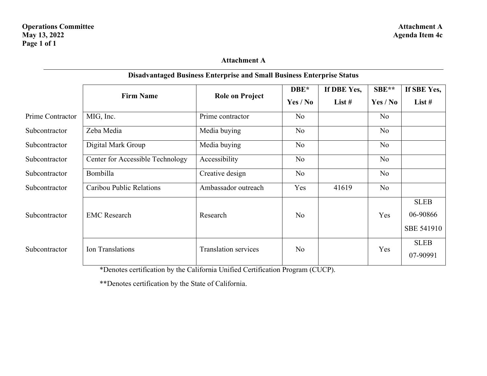# **Attachment A**

|                  | <b>Firm Name</b>                 | <b>Role on Project</b>      | DBE*           | If DBE Yes, | SBE**          | If SBE Yes,                                  |
|------------------|----------------------------------|-----------------------------|----------------|-------------|----------------|----------------------------------------------|
|                  |                                  |                             | Yes / No       | List $#$    | Yes / No       | List $#$                                     |
| Prime Contractor | MIG, Inc.                        | Prime contractor            | No             |             | No             |                                              |
| Subcontractor    | Zeba Media                       | Media buying                | No             |             | N <sub>o</sub> |                                              |
| Subcontractor    | Digital Mark Group               | Media buying                | N <sub>o</sub> |             | N <sub>o</sub> |                                              |
| Subcontractor    | Center for Accessible Technology | Accessibility               | No             |             | No             |                                              |
| Subcontractor    | Bombilla                         | Creative design             | No             |             | No             |                                              |
| Subcontractor    | Caribou Public Relations         | Ambassador outreach         | Yes            | 41619       | No             |                                              |
| Subcontractor    | <b>EMC</b> Research              | Research                    | No             |             | Yes            | <b>SLEB</b><br>06-90866<br><b>SBE 541910</b> |
| Subcontractor    | Ion Translations                 | <b>Translation services</b> | No             |             | Yes            | <b>SLEB</b><br>07-90991                      |

## **Disadvantaged Business Enterprise and Small Business Enterprise Status**

\*Denotes certification by the California Unified Certification Program (CUCP).

\*\*Denotes certification by the State of California.